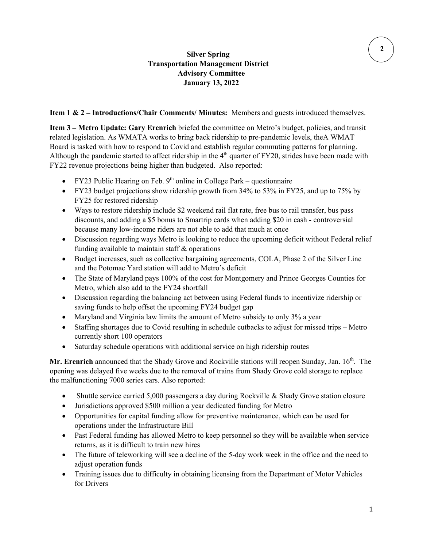## **Silver Spring Transportation Management District Advisory Committee January 13, 2022**

#### **Item 1 & 2 – Introductions/Chair Comments/ Minutes:** Members and guests introduced themselves.

**Item 3 – Metro Update: Gary Erenrich** briefed the committee on Metro's budget, policies, and transit related legislation. As WMATA works to bring back ridership to pre-pandemic levels, theA WMAT Board is tasked with how to respond to Covid and establish regular commuting patterns for planning. Although the pandemic started to affect ridership in the  $4<sup>th</sup>$  quarter of FY20, strides have been made with FY22 revenue projections being higher than budgeted. Also reported:

- FY23 Public Hearing on Feb.  $9<sup>th</sup>$  online in College Park questionnaire
- FY23 budget projections show ridership growth from 34% to 53% in FY25, and up to 75% by FY25 for restored ridership
- Ways to restore ridership include \$2 weekend rail flat rate, free bus to rail transfer, bus pass discounts, and adding a \$5 bonus to Smartrip cards when adding \$20 in cash - controversial because many low-income riders are not able to add that much at once
- Discussion regarding ways Metro is looking to reduce the upcoming deficit without Federal relief funding available to maintain staff  $\&$  operations
- Budget increases, such as collective bargaining agreements, COLA, Phase 2 of the Silver Line and the Potomac Yard station will add to Metro's deficit
- The State of Maryland pays 100% of the cost for Montgomery and Prince Georges Counties for Metro, which also add to the FY24 shortfall
- Discussion regarding the balancing act between using Federal funds to incentivize ridership or saving funds to help offset the upcoming FY24 budget gap
- Maryland and Virginia law limits the amount of Metro subsidy to only 3% a year
- Staffing shortages due to Covid resulting in schedule cutbacks to adjust for missed trips Metro currently short 100 operators
- Saturday schedule operations with additional service on high ridership routes

Mr. Erenrich announced that the Shady Grove and Rockville stations will reopen Sunday, Jan. 16<sup>th</sup>. The opening was delayed five weeks due to the removal of trains from Shady Grove cold storage to replace the malfunctioning 7000 series cars. Also reported:

- Shuttle service carried 5,000 passengers a day during Rockville & Shady Grove station closure
- Jurisdictions approved \$500 million a year dedicated funding for Metro
- Opportunities for capital funding allow for preventive maintenance, which can be used for operations under the Infrastructure Bill
- Past Federal funding has allowed Metro to keep personnel so they will be available when service returns, as it is difficult to train new hires
- The future of teleworking will see a decline of the 5-day work week in the office and the need to adjust operation funds
- Training issues due to difficulty in obtaining licensing from the Department of Motor Vehicles for Drivers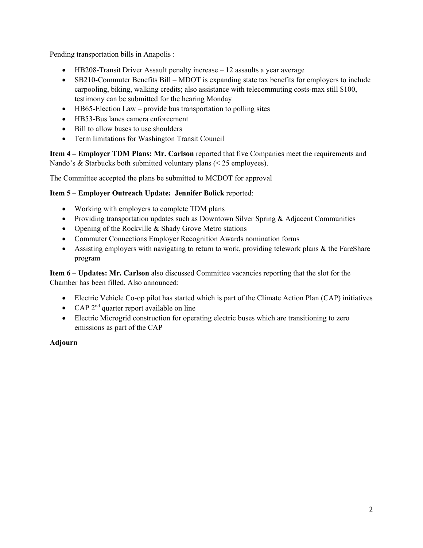Pending transportation bills in Anapolis :

- HB208-Transit Driver Assault penalty increase 12 assaults a year average
- SB210-Commuter Benefits Bill MDOT is expanding state tax benefits for employers to include carpooling, biking, walking credits; also assistance with telecommuting costs-max still \$100, testimony can be submitted for the hearing Monday
- HB65-Election Law provide bus transportation to polling sites
- HB53-Bus lanes camera enforcement
- Bill to allow buses to use shoulders
- Term limitations for Washington Transit Council

**Item 4 – Employer TDM Plans: Mr. Carlson** reported that five Companies meet the requirements and Nando's & Starbucks both submitted voluntary plans (< 25 employees).

The Committee accepted the plans be submitted to MCDOT for approval

#### **Item 5 – Employer Outreach Update: Jennifer Bolick** reported:

- Working with employers to complete TDM plans
- Providing transportation updates such as Downtown Silver Spring & Adjacent Communities
- Opening of the Rockville & Shady Grove Metro stations
- Commuter Connections Employer Recognition Awards nomination forms
- Assisting employers with navigating to return to work, providing telework plans & the FareShare program

**Item 6 – Updates: Mr. Carlson** also discussed Committee vacancies reporting that the slot for the Chamber has been filled. Also announced:

- Electric Vehicle Co-op pilot has started which is part of the Climate Action Plan (CAP) initiatives
- CAP  $2^{nd}$  quarter report available on line
- Electric Microgrid construction for operating electric buses which are transitioning to zero emissions as part of the CAP

### **Adjourn**